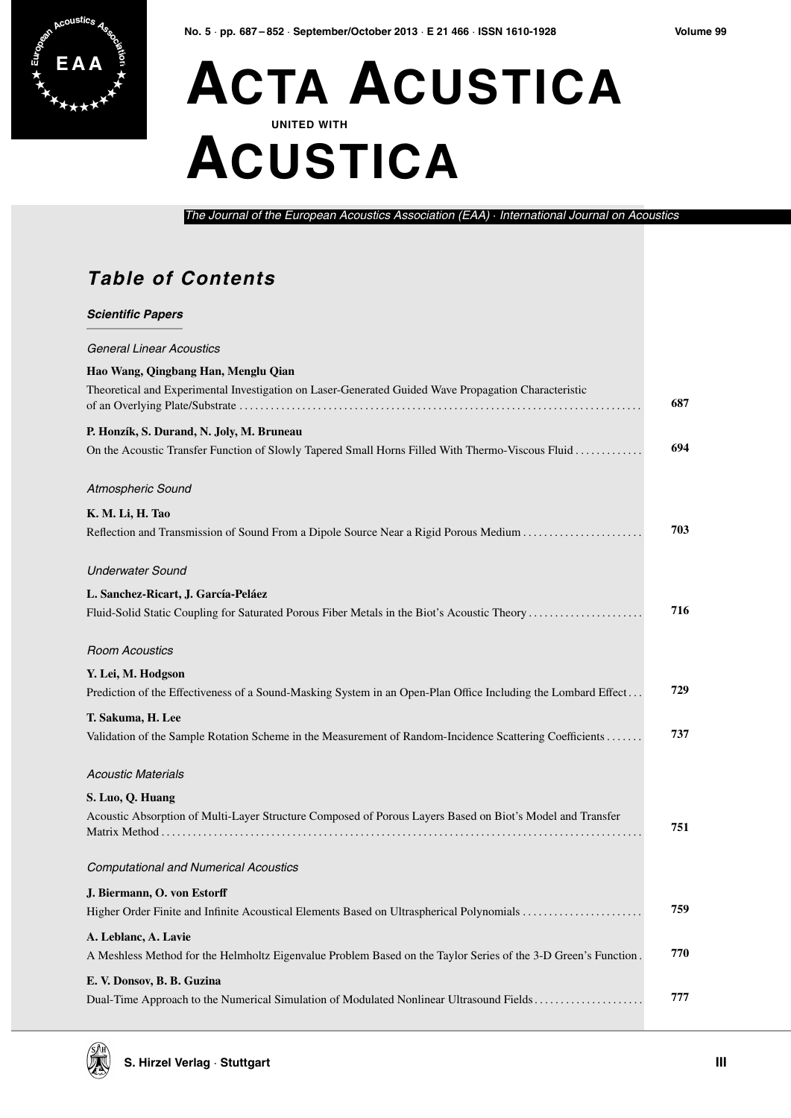

## **ACTA ACUSTICA UNITED WITH ACUSTICA**

The Journal of the European Acoustics Association (EAA) · International Journal on Acoustics

## **Table of Contents**

| <b>Scientific Papers</b>                                                                                                                      |     |
|-----------------------------------------------------------------------------------------------------------------------------------------------|-----|
| <b>General Linear Acoustics</b>                                                                                                               |     |
| Hao Wang, Qingbang Han, Menglu Qian                                                                                                           |     |
| Theoretical and Experimental Investigation on Laser-Generated Guided Wave Propagation Characteristic                                          | 687 |
| P. Honzík, S. Durand, N. Joly, M. Bruneau<br>On the Acoustic Transfer Function of Slowly Tapered Small Horns Filled With Thermo-Viscous Fluid | 694 |
| Atmospheric Sound                                                                                                                             |     |
| K. M. Li, H. Tao                                                                                                                              |     |
| Reflection and Transmission of Sound From a Dipole Source Near a Rigid Porous Medium                                                          | 703 |
| <b>Underwater Sound</b>                                                                                                                       |     |
| L. Sanchez-Ricart, J. García-Peláez                                                                                                           |     |
| Fluid-Solid Static Coupling for Saturated Porous Fiber Metals in the Biot's Acoustic Theory                                                   | 716 |
| <b>Room Acoustics</b>                                                                                                                         |     |
| Y. Lei, M. Hodgson                                                                                                                            |     |
| Prediction of the Effectiveness of a Sound-Masking System in an Open-Plan Office Including the Lombard Effect                                 | 729 |
| T. Sakuma, H. Lee                                                                                                                             |     |
| Validation of the Sample Rotation Scheme in the Measurement of Random-Incidence Scattering Coefficients                                       | 737 |
| <b>Acoustic Materials</b>                                                                                                                     |     |
| S. Luo, Q. Huang                                                                                                                              |     |
| Acoustic Absorption of Multi-Layer Structure Composed of Porous Layers Based on Biot's Model and Transfer                                     | 751 |
| <b>Computational and Numerical Acoustics</b>                                                                                                  |     |
| J. Biermann, O. von Estorff                                                                                                                   |     |
| Higher Order Finite and Infinite Acoustical Elements Based on Ultraspherical Polynomials                                                      | 759 |
| A. Leblanc, A. Lavie                                                                                                                          |     |
| A Meshless Method for the Helmholtz Eigenvalue Problem Based on the Taylor Series of the 3-D Green's Function.                                | 770 |
| E. V. Donsov, B. B. Guzina                                                                                                                    |     |
| Dual-Time Approach to the Numerical Simulation of Modulated Nonlinear Ultrasound Fields                                                       | 777 |